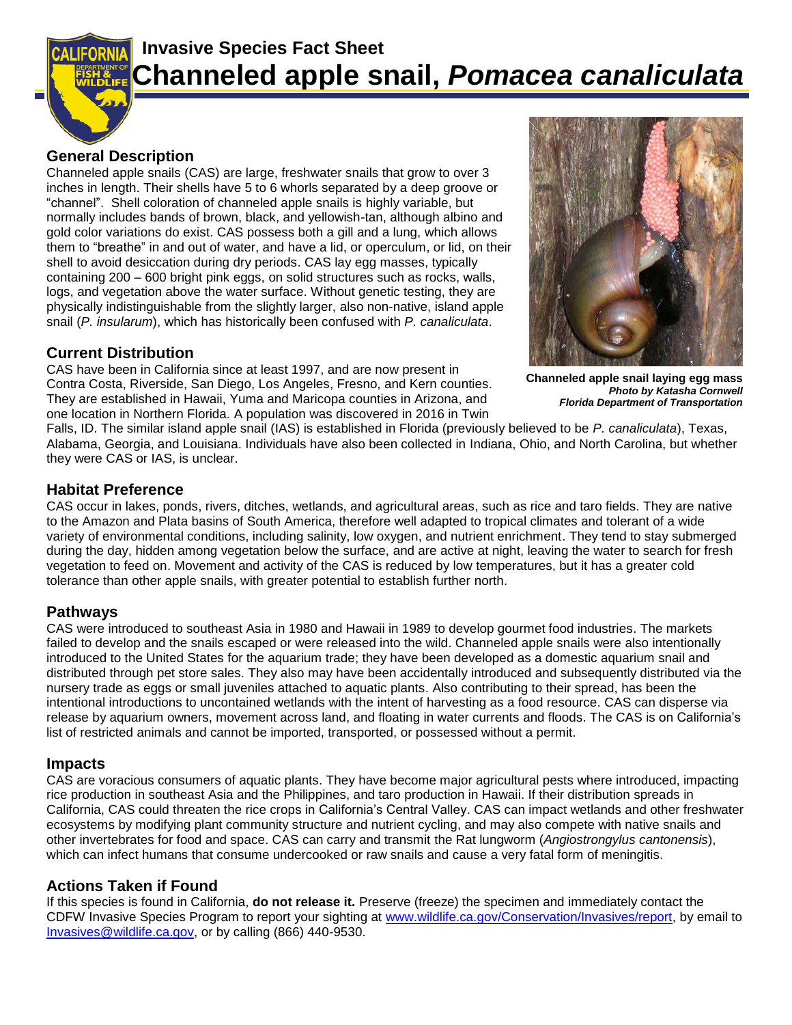

# **Invasive Species Fact Sheet Channeled apple snail,** *Pomacea canaliculata*

### **General Description**

Channeled apple snails (CAS) are large, freshwater snails that grow to over 3 inches in length. Their shells have 5 to 6 whorls separated by a deep groove or "channel". Shell coloration of channeled apple snails is highly variable, but normally includes bands of brown, black, and yellowish-tan, although albino and gold color variations do exist. CAS possess both a gill and a lung, which allows them to "breathe" in and out of water, and have a lid, or operculum, or lid, on their shell to avoid desiccation during dry periods. CAS lay egg masses, typically containing 200 – 600 bright pink eggs, on solid structures such as rocks, walls, logs, and vegetation above the water surface. Without genetic testing, they are physically indistinguishable from the slightly larger, also non-native, island apple snail (*P. insularum*), which has historically been confused with *P. canaliculata*.

### **Current Distribution**

CAS have been in California since at least 1997, and are now present in Contra Costa, Riverside, San Diego, Los Angeles, Fresno, and Kern counties. They are established in Hawaii, Yuma and Maricopa counties in Arizona, and one location in Northern Florida. A population was discovered in 2016 in Twin



 **Channeled apple snail laying egg mass** *Photo by Katasha Cornwell Florida Department of Transportation*

Falls, ID. The similar island apple snail (IAS) is established in Florida (previously believed to be *P. canaliculata*), Texas, Alabama, Georgia, and Louisiana. Individuals have also been collected in Indiana, Ohio, and North Carolina, but whether they were CAS or IAS, is unclear.

#### **Habitat Preference**

CAS occur in lakes, ponds, rivers, ditches, wetlands, and agricultural areas, such as rice and taro fields. They are native to the Amazon and Plata basins of South America, therefore well adapted to tropical climates and tolerant of a wide variety of environmental conditions, including salinity, low oxygen, and nutrient enrichment. They tend to stay submerged during the day, hidden among vegetation below the surface, and are active at night, leaving the water to search for fresh vegetation to feed on. Movement and activity of the CAS is reduced by low temperatures, but it has a greater cold tolerance than other apple snails, with greater potential to establish further north.

#### **Pathways**

CAS were introduced to southeast Asia in 1980 and Hawaii in 1989 to develop gourmet food industries. The markets failed to develop and the snails escaped or were released into the wild. Channeled apple snails were also intentionally introduced to the United States for the aquarium trade; they have been developed as a domestic aquarium snail and distributed through pet store sales. They also may have been accidentally introduced and subsequently distributed via the nursery trade as eggs or small juveniles attached to aquatic plants. Also contributing to their spread, has been the intentional introductions to uncontained wetlands with the intent of harvesting as a food resource. CAS can disperse via release by aquarium owners, movement across land, and floating in water currents and floods. The CAS is on California's list of restricted animals and cannot be imported, transported, or possessed without a permit.

#### **Impacts**

CAS are voracious consumers of aquatic plants. They have become major agricultural pests where introduced, impacting rice production in southeast Asia and the Philippines, and taro production in Hawaii. If their distribution spreads in California, CAS could threaten the rice crops in California's Central Valley. CAS can impact wetlands and other freshwater ecosystems by modifying plant community structure and nutrient cycling, and may also compete with native snails and other invertebrates for food and space. CAS can carry and transmit the Rat lungworm (*Angiostrongylus cantonensis*), which can infect humans that consume undercooked or raw snails and cause a very fatal form of meningitis.

## **Actions Taken if Found**

If this species is found in California, **do not release it.** Preserve (freeze) the specimen and immediately contact the CDFW Invasive Species Program to report your sighting at [www.wildlife.ca.gov/Conservation/Invasives/report,](http://www.wildlife.ca.gov/Conservation/Invasives/report) by email to [Invasives@wildlife.ca.gov,](mailto:Invasives@wildlife.ca.gov) or by calling (866) 440-9530.